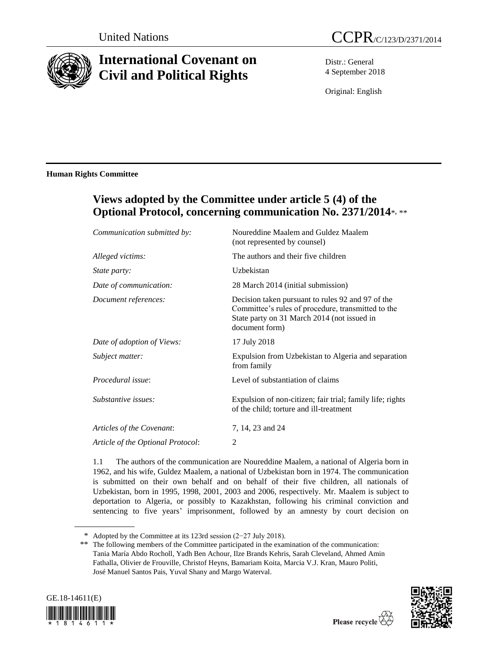

# **International Covenant on Civil and Political Rights**

Distr.: General 4 September 2018

Original: English

### **Human Rights Committee**

## **Views adopted by the Committee under article 5 (4) of the Optional Protocol, concerning communication No. 2371/2014**\*, \*\*

| Communication submitted by:       | Noureddine Maalem and Guldez Maalem<br>(not represented by counsel)                                                                                                      |
|-----------------------------------|--------------------------------------------------------------------------------------------------------------------------------------------------------------------------|
| Alleged victims:                  | The authors and their five children                                                                                                                                      |
| State party:                      | Uzbekistan                                                                                                                                                               |
| Date of communication:            | 28 March 2014 (initial submission)                                                                                                                                       |
| Document references:              | Decision taken pursuant to rules 92 and 97 of the<br>Committee's rules of procedure, transmitted to the<br>State party on 31 March 2014 (not issued in<br>document form) |
| Date of adoption of Views:        | 17 July 2018                                                                                                                                                             |
| Subject matter:                   | Expulsion from Uzbekistan to Algeria and separation<br>from family                                                                                                       |
| <i>Procedural issue:</i>          | Level of substantiation of claims                                                                                                                                        |
| Substantive issues:               | Expulsion of non-citizen; fair trial; family life; rights<br>of the child; torture and ill-treatment                                                                     |
| Articles of the Covenant:         | 7, 14, 23 and 24                                                                                                                                                         |
| Article of the Optional Protocol: | 2                                                                                                                                                                        |

1.1 The authors of the communication are Noureddine Maalem, a national of Algeria born in 1962, and his wife, Guldez Maalem, a national of Uzbekistan born in 1974. The communication is submitted on their own behalf and on behalf of their five children, all nationals of Uzbekistan, born in 1995, 1998, 2001, 2003 and 2006, respectively. Mr. Maalem is subject to deportation to Algeria, or possibly to Kazakhstan, following his criminal conviction and sentencing to five years' imprisonment, followed by an amnesty by court decision on

<sup>\*\*</sup> The following members of the Committee participated in the examination of the communication: Tania María Abdo Rocholl, Yadh Ben Achour, Ilze Brands Kehris, Sarah Cleveland, Ahmed Amin Fathalla, Olivier de Frouville, Christof Heyns, Bamariam Koita, Marcia V.J. Kran, Mauro Politi, José Manuel Santos Pais, Yuval Shany and Margo Waterval.





<sup>\*</sup> Adopted by the Committee at its 123rd session (2−27 July 2018).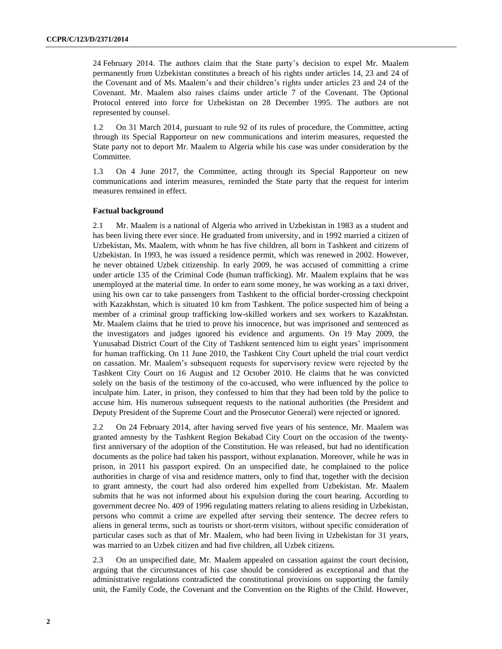24 February 2014. The authors claim that the State party's decision to expel Mr. Maalem permanently from Uzbekistan constitutes a breach of his rights under articles 14, 23 and 24 of the Covenant and of Ms. Maalem's and their children's rights under articles 23 and 24 of the Covenant. Mr. Maalem also raises claims under article 7 of the Covenant. The Optional Protocol entered into force for Uzbekistan on 28 December 1995. The authors are not represented by counsel.

1.2 On 31 March 2014, pursuant to rule 92 of its rules of procedure, the Committee, acting through its Special Rapporteur on new communications and interim measures, requested the State party not to deport Mr. Maalem to Algeria while his case was under consideration by the Committee.

1.3 On 4 June 2017, the Committee, acting through its Special Rapporteur on new communications and interim measures, reminded the State party that the request for interim measures remained in effect.

#### **Factual background**

2.1 Mr. Maalem is a national of Algeria who arrived in Uzbekistan in 1983 as a student and has been living there ever since. He graduated from university, and in 1992 married a citizen of Uzbekistan, Ms. Maalem, with whom he has five children, all born in Tashkent and citizens of Uzbekistan. In 1993, he was issued a residence permit, which was renewed in 2002. However, he never obtained Uzbek citizenship. In early 2009, he was accused of committing a crime under article 135 of the Criminal Code (human trafficking). Mr. Maalem explains that he was unemployed at the material time. In order to earn some money, he was working as a taxi driver, using his own car to take passengers from Tashkent to the official border-crossing checkpoint with Kazakhstan, which is situated 10 km from Tashkent. The police suspected him of being a member of a criminal group trafficking low-skilled workers and sex workers to Kazakhstan. Mr. Maalem claims that he tried to prove his innocence, but was imprisoned and sentenced as the investigators and judges ignored his evidence and arguments. On 19 May 2009, the Yunusabad District Court of the City of Tashkent sentenced him to eight years' imprisonment for human trafficking. On 11 June 2010, the Tashkent City Court upheld the trial court verdict on cassation. Mr. Maalem's subsequent requests for supervisory review were rejected by the Tashkent City Court on 16 August and 12 October 2010. He claims that he was convicted solely on the basis of the testimony of the co-accused, who were influenced by the police to inculpate him. Later, in prison, they confessed to him that they had been told by the police to accuse him. His numerous subsequent requests to the national authorities (the President and Deputy President of the Supreme Court and the Prosecutor General) were rejected or ignored.

2.2 On 24 February 2014, after having served five years of his sentence, Mr. Maalem was granted amnesty by the Tashkent Region Bekabad City Court on the occasion of the twentyfirst anniversary of the adoption of the Constitution. He was released, but had no identification documents as the police had taken his passport, without explanation. Moreover, while he was in prison, in 2011 his passport expired. On an unspecified date, he complained to the police authorities in charge of visa and residence matters, only to find that, together with the decision to grant amnesty, the court had also ordered him expelled from Uzbekistan. Mr. Maalem submits that he was not informed about his expulsion during the court hearing. According to government decree No. 409 of 1996 regulating matters relating to aliens residing in Uzbekistan, persons who commit a crime are expelled after serving their sentence. The decree refers to aliens in general terms, such as tourists or short-term visitors, without specific consideration of particular cases such as that of Mr. Maalem, who had been living in Uzbekistan for 31 years, was married to an Uzbek citizen and had five children, all Uzbek citizens.

2.3 On an unspecified date, Mr. Maalem appealed on cassation against the court decision, arguing that the circumstances of his case should be considered as exceptional and that the administrative regulations contradicted the constitutional provisions on supporting the family unit, the Family Code, the Covenant and the Convention on the Rights of the Child. However,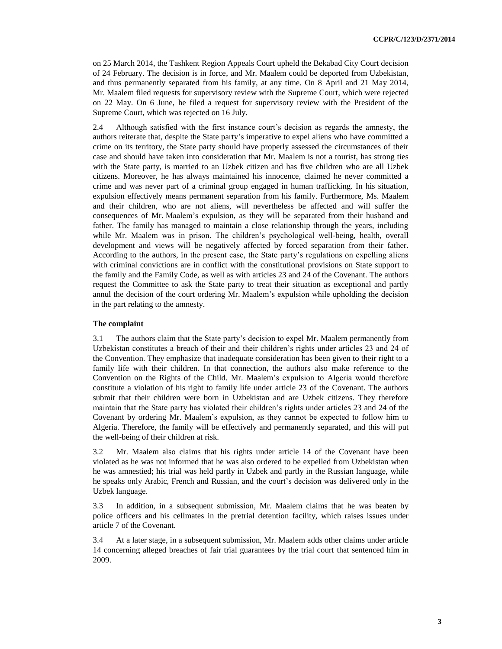on 25 March 2014, the Tashkent Region Appeals Court upheld the Bekabad City Court decision of 24 February. The decision is in force, and Mr. Maalem could be deported from Uzbekistan, and thus permanently separated from his family, at any time. On 8 April and 21 May 2014, Mr. Maalem filed requests for supervisory review with the Supreme Court, which were rejected on 22 May. On 6 June, he filed a request for supervisory review with the President of the Supreme Court, which was rejected on 16 July.

2.4 Although satisfied with the first instance court's decision as regards the amnesty, the authors reiterate that, despite the State party's imperative to expel aliens who have committed a crime on its territory, the State party should have properly assessed the circumstances of their case and should have taken into consideration that Mr. Maalem is not a tourist, has strong ties with the State party, is married to an Uzbek citizen and has five children who are all Uzbek citizens. Moreover, he has always maintained his innocence, claimed he never committed a crime and was never part of a criminal group engaged in human trafficking. In his situation, expulsion effectively means permanent separation from his family. Furthermore, Ms. Maalem and their children, who are not aliens, will nevertheless be affected and will suffer the consequences of Mr. Maalem's expulsion, as they will be separated from their husband and father. The family has managed to maintain a close relationship through the years, including while Mr. Maalem was in prison. The children's psychological well-being, health, overall development and views will be negatively affected by forced separation from their father. According to the authors, in the present case, the State party's regulations on expelling aliens with criminal convictions are in conflict with the constitutional provisions on State support to the family and the Family Code, as well as with articles 23 and 24 of the Covenant. The authors request the Committee to ask the State party to treat their situation as exceptional and partly annul the decision of the court ordering Mr. Maalem's expulsion while upholding the decision in the part relating to the amnesty.

#### **The complaint**

3.1 The authors claim that the State party's decision to expel Mr. Maalem permanently from Uzbekistan constitutes a breach of their and their children's rights under articles 23 and 24 of the Convention. They emphasize that inadequate consideration has been given to their right to a family life with their children. In that connection, the authors also make reference to the Convention on the Rights of the Child. Mr. Maalem's expulsion to Algeria would therefore constitute a violation of his right to family life under article 23 of the Covenant. The authors submit that their children were born in Uzbekistan and are Uzbek citizens. They therefore maintain that the State party has violated their children's rights under articles 23 and 24 of the Covenant by ordering Mr. Maalem's expulsion, as they cannot be expected to follow him to Algeria. Therefore, the family will be effectively and permanently separated, and this will put the well-being of their children at risk.

3.2 Mr. Maalem also claims that his rights under article 14 of the Covenant have been violated as he was not informed that he was also ordered to be expelled from Uzbekistan when he was amnestied; his trial was held partly in Uzbek and partly in the Russian language, while he speaks only Arabic, French and Russian, and the court's decision was delivered only in the Uzbek language.

3.3 In addition, in a subsequent submission, Mr. Maalem claims that he was beaten by police officers and his cellmates in the pretrial detention facility, which raises issues under article 7 of the Covenant.

3.4 At a later stage, in a subsequent submission, Mr. Maalem adds other claims under article 14 concerning alleged breaches of fair trial guarantees by the trial court that sentenced him in 2009.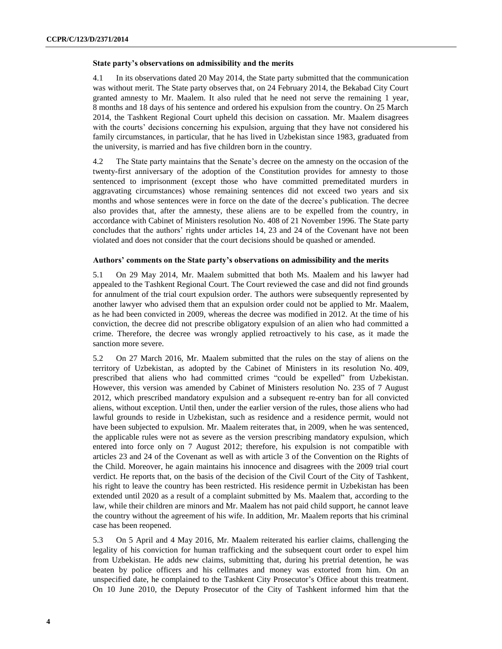#### **State party's observations on admissibility and the merits**

4.1 In its observations dated 20 May 2014, the State party submitted that the communication was without merit. The State party observes that, on 24 February 2014, the Bekabad City Court granted amnesty to Mr. Maalem. It also ruled that he need not serve the remaining 1 year, 8 months and 18 days of his sentence and ordered his expulsion from the country. On 25 March 2014, the Tashkent Regional Court upheld this decision on cassation. Mr. Maalem disagrees with the courts' decisions concerning his expulsion, arguing that they have not considered his family circumstances, in particular, that he has lived in Uzbekistan since 1983, graduated from the university, is married and has five children born in the country.

4.2 The State party maintains that the Senate's decree on the amnesty on the occasion of the twenty-first anniversary of the adoption of the Constitution provides for amnesty to those sentenced to imprisonment (except those who have committed premeditated murders in aggravating circumstances) whose remaining sentences did not exceed two years and six months and whose sentences were in force on the date of the decree's publication. The decree also provides that, after the amnesty, these aliens are to be expelled from the country, in accordance with Cabinet of Ministers resolution No. 408 of 21 November 1996. The State party concludes that the authors' rights under articles 14, 23 and 24 of the Covenant have not been violated and does not consider that the court decisions should be quashed or amended.

#### **Authors' comments on the State party's observations on admissibility and the merits**

5.1 On 29 May 2014, Mr. Maalem submitted that both Ms. Maalem and his lawyer had appealed to the Tashkent Regional Court. The Court reviewed the case and did not find grounds for annulment of the trial court expulsion order. The authors were subsequently represented by another lawyer who advised them that an expulsion order could not be applied to Mr. Maalem, as he had been convicted in 2009, whereas the decree was modified in 2012. At the time of his conviction, the decree did not prescribe obligatory expulsion of an alien who had committed a crime. Therefore, the decree was wrongly applied retroactively to his case, as it made the sanction more severe.

5.2 On 27 March 2016, Mr. Maalem submitted that the rules on the stay of aliens on the territory of Uzbekistan, as adopted by the Cabinet of Ministers in its resolution No. 409, prescribed that aliens who had committed crimes "could be expelled" from Uzbekistan. However, this version was amended by Cabinet of Ministers resolution No. 235 of 7 August 2012, which prescribed mandatory expulsion and a subsequent re-entry ban for all convicted aliens, without exception. Until then, under the earlier version of the rules, those aliens who had lawful grounds to reside in Uzbekistan, such as residence and a residence permit, would not have been subjected to expulsion. Mr. Maalem reiterates that, in 2009, when he was sentenced, the applicable rules were not as severe as the version prescribing mandatory expulsion, which entered into force only on 7 August 2012; therefore, his expulsion is not compatible with articles 23 and 24 of the Covenant as well as with article 3 of the Convention on the Rights of the Child. Moreover, he again maintains his innocence and disagrees with the 2009 trial court verdict. He reports that, on the basis of the decision of the Civil Court of the City of Tashkent, his right to leave the country has been restricted. His residence permit in Uzbekistan has been extended until 2020 as a result of a complaint submitted by Ms. Maalem that, according to the law, while their children are minors and Mr. Maalem has not paid child support, he cannot leave the country without the agreement of his wife. In addition, Mr. Maalem reports that his criminal case has been reopened.

5.3 On 5 April and 4 May 2016, Mr. Maalem reiterated his earlier claims, challenging the legality of his conviction for human trafficking and the subsequent court order to expel him from Uzbekistan. He adds new claims, submitting that, during his pretrial detention, he was beaten by police officers and his cellmates and money was extorted from him. On an unspecified date, he complained to the Tashkent City Prosecutor's Office about this treatment. On 10 June 2010, the Deputy Prosecutor of the City of Tashkent informed him that the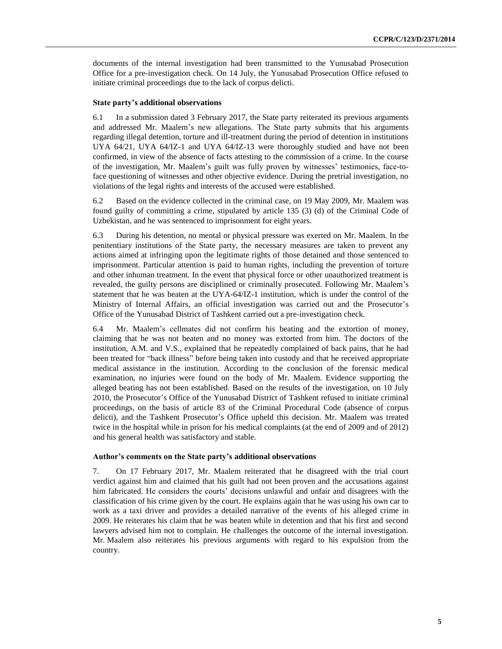documents of the internal investigation had been transmitted to the Yunusabad Prosecution Office for a pre-investigation check. On 14 July, the Yunusabad Prosecution Office refused to initiate criminal proceedings due to the lack of corpus delicti.

#### **State party's additional observations**

6.1 In a submission dated 3 February 2017, the State party reiterated its previous arguments and addressed Mr. Maalem's new allegations. The State party submits that his arguments regarding illegal detention, torture and ill-treatment during the period of detention in institutions UYA 64/21, UYA 64/IZ-1 and UYA 64/IZ-13 were thoroughly studied and have not been confirmed, in view of the absence of facts attesting to the commission of a crime. In the course of the investigation, Mr. Maalem's guilt was fully proven by witnesses' testimonies, face-toface questioning of witnesses and other objective evidence. During the pretrial investigation, no violations of the legal rights and interests of the accused were established.

6.2 Based on the evidence collected in the criminal case, on 19 May 2009, Mr. Maalem was found guilty of committing a crime, stipulated by article 135 (3) (d) of the Criminal Code of Uzbekistan, and he was sentenced to imprisonment for eight years.

6.3 During his detention, no mental or physical pressure was exerted on Mr. Maalem. In the penitentiary institutions of the State party, the necessary measures are taken to prevent any actions aimed at infringing upon the legitimate rights of those detained and those sentenced to imprisonment. Particular attention is paid to human rights, including the prevention of torture and other inhuman treatment. In the event that physical force or other unauthorized treatment is revealed, the guilty persons are disciplined or criminally prosecuted. Following Mr. Maalem's statement that he was beaten at the UYA-64/IZ-1 institution, which is under the control of the Ministry of Internal Affairs, an official investigation was carried out and the Prosecutor's Office of the Yunusabad District of Tashkent carried out a pre-investigation check.

6.4 Mr. Maalem's cellmates did not confirm his beating and the extortion of money, claiming that he was not beaten and no money was extorted from him. The doctors of the institution, A.M. and V.S., explained that he repeatedly complained of back pains, that he had been treated for "back illness" before being taken into custody and that he received appropriate medical assistance in the institution. According to the conclusion of the forensic medical examination, no injuries were found on the body of Mr. Maalem. Evidence supporting the alleged beating has not been established. Based on the results of the investigation, on 10 July 2010, the Prosecutor's Office of the Yunusabad District of Tashkent refused to initiate criminal proceedings, on the basis of article 83 of the Criminal Procedural Code (absence of corpus delicti), and the Tashkent Prosecutor's Office upheld this decision. Mr. Maalem was treated twice in the hospital while in prison for his medical complaints (at the end of 2009 and of 2012) and his general health was satisfactory and stable.

#### **Author's comments on the State party's additional observations**

7. On 17 February 2017, Mr. Maalem reiterated that he disagreed with the trial court verdict against him and claimed that his guilt had not been proven and the accusations against him fabricated. He considers the courts' decisions unlawful and unfair and disagrees with the classification of his crime given by the court. He explains again that he was using his own car to work as a taxi driver and provides a detailed narrative of the events of his alleged crime in 2009. He reiterates his claim that he was beaten while in detention and that his first and second lawyers advised him not to complain. He challenges the outcome of the internal investigation. Mr. Maalem also reiterates his previous arguments with regard to his expulsion from the country.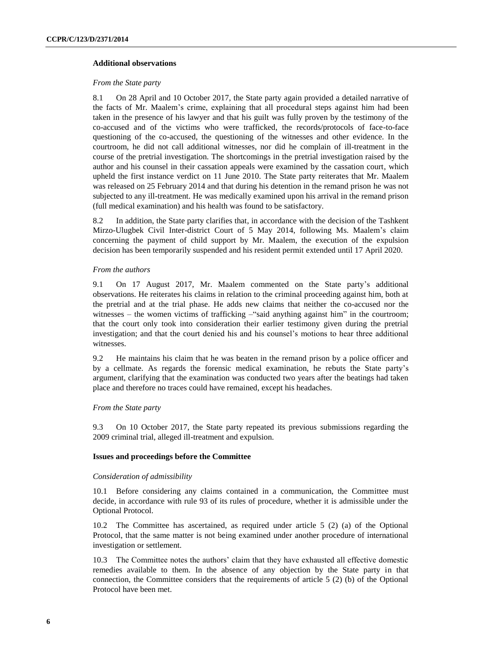#### **Additional observations**

#### *From the State party*

8.1 On 28 April and 10 October 2017, the State party again provided a detailed narrative of the facts of Mr. Maalem's crime, explaining that all procedural steps against him had been taken in the presence of his lawyer and that his guilt was fully proven by the testimony of the co-accused and of the victims who were trafficked, the records/protocols of face-to-face questioning of the co-accused, the questioning of the witnesses and other evidence. In the courtroom, he did not call additional witnesses, nor did he complain of ill-treatment in the course of the pretrial investigation. The shortcomings in the pretrial investigation raised by the author and his counsel in their cassation appeals were examined by the cassation court, which upheld the first instance verdict on 11 June 2010. The State party reiterates that Mr. Maalem was released on 25 February 2014 and that during his detention in the remand prison he was not subjected to any ill-treatment. He was medically examined upon his arrival in the remand prison (full medical examination) and his health was found to be satisfactory.

8.2 In addition, the State party clarifies that, in accordance with the decision of the Tashkent Mirzo-Ulugbek Civil Inter-district Court of 5 May 2014, following Ms. Maalem's claim concerning the payment of child support by Mr. Maalem, the execution of the expulsion decision has been temporarily suspended and his resident permit extended until 17 April 2020.

#### *From the authors*

9.1 On 17 August 2017, Mr. Maalem commented on the State party's additional observations. He reiterates his claims in relation to the criminal proceeding against him, both at the pretrial and at the trial phase. He adds new claims that neither the co-accused nor the witnesses – the women victims of trafficking – "said anything against him" in the courtroom; that the court only took into consideration their earlier testimony given during the pretrial investigation; and that the court denied his and his counsel's motions to hear three additional witnesses.

9.2 He maintains his claim that he was beaten in the remand prison by a police officer and by a cellmate. As regards the forensic medical examination, he rebuts the State party's argument, clarifying that the examination was conducted two years after the beatings had taken place and therefore no traces could have remained, except his headaches.

#### *From the State party*

9.3 On 10 October 2017, the State party repeated its previous submissions regarding the 2009 criminal trial, alleged ill-treatment and expulsion.

#### **Issues and proceedings before the Committee**

#### *Consideration of admissibility*

10.1 Before considering any claims contained in a communication, the Committee must decide, in accordance with rule 93 of its rules of procedure, whether it is admissible under the Optional Protocol.

10.2 The Committee has ascertained, as required under article 5 (2) (a) of the Optional Protocol, that the same matter is not being examined under another procedure of international investigation or settlement.

10.3 The Committee notes the authors' claim that they have exhausted all effective domestic remedies available to them. In the absence of any objection by the State party in that connection, the Committee considers that the requirements of article 5 (2) (b) of the Optional Protocol have been met.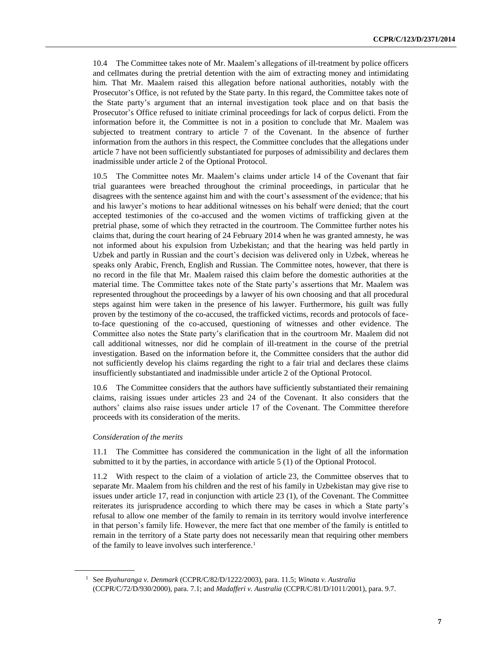10.4 The Committee takes note of Mr. Maalem's allegations of ill-treatment by police officers and cellmates during the pretrial detention with the aim of extracting money and intimidating him. That Mr. Maalem raised this allegation before national authorities, notably with the Prosecutor's Office, is not refuted by the State party. In this regard, the Committee takes note of the State party's argument that an internal investigation took place and on that basis the Prosecutor's Office refused to initiate criminal proceedings for lack of corpus delicti. From the information before it, the Committee is not in a position to conclude that Mr. Maalem was subjected to treatment contrary to article 7 of the Covenant. In the absence of further information from the authors in this respect, the Committee concludes that the allegations under article 7 have not been sufficiently substantiated for purposes of admissibility and declares them inadmissible under article 2 of the Optional Protocol.

10.5 The Committee notes Mr. Maalem's claims under article 14 of the Covenant that fair trial guarantees were breached throughout the criminal proceedings, in particular that he disagrees with the sentence against him and with the court's assessment of the evidence; that his and his lawyer's motions to hear additional witnesses on his behalf were denied; that the court accepted testimonies of the co-accused and the women victims of trafficking given at the pretrial phase, some of which they retracted in the courtroom. The Committee further notes his claims that, during the court hearing of 24 February 2014 when he was granted amnesty, he was not informed about his expulsion from Uzbekistan; and that the hearing was held partly in Uzbek and partly in Russian and the court's decision was delivered only in Uzbek, whereas he speaks only Arabic, French, English and Russian. The Committee notes, however, that there is no record in the file that Mr. Maalem raised this claim before the domestic authorities at the material time. The Committee takes note of the State party's assertions that Mr. Maalem was represented throughout the proceedings by a lawyer of his own choosing and that all procedural steps against him were taken in the presence of his lawyer. Furthermore, his guilt was fully proven by the testimony of the co-accused, the trafficked victims, records and protocols of faceto-face questioning of the co-accused, questioning of witnesses and other evidence. The Committee also notes the State party's clarification that in the courtroom Mr. Maalem did not call additional witnesses, nor did he complain of ill-treatment in the course of the pretrial investigation. Based on the information before it, the Committee considers that the author did not sufficiently develop his claims regarding the right to a fair trial and declares these claims insufficiently substantiated and inadmissible under article 2 of the Optional Protocol.

10.6 The Committee considers that the authors have sufficiently substantiated their remaining claims, raising issues under articles 23 and 24 of the Covenant. It also considers that the authors' claims also raise issues under article 17 of the Covenant. The Committee therefore proceeds with its consideration of the merits.

#### *Consideration of the merits*

11.1 The Committee has considered the communication in the light of all the information submitted to it by the parties, in accordance with article 5 (1) of the Optional Protocol.

11.2 With respect to the claim of a violation of article 23, the Committee observes that to separate Mr. Maalem from his children and the rest of his family in Uzbekistan may give rise to issues under article 17, read in conjunction with article 23 (1), of the Covenant. The Committee reiterates its jurisprudence according to which there may be cases in which a State party's refusal to allow one member of the family to remain in its territory would involve interference in that person's family life. However, the mere fact that one member of the family is entitled to remain in the territory of a State party does not necessarily mean that requiring other members of the family to leave involves such interference.<sup>1</sup>

<sup>1</sup> See *Byahuranga v. Denmark* [\(CCPR/C/82/D/1222/2003\)](https://documents-dds-ny.un.org/doc/UNDOC/DER/G04/450/92/pdf/G0445092.pdf?OpenElement), para. 11.5; *Winata v. Australia* (CCPR/C/72/D/930/2000), para. 7.1; and *Madafferi v. Australia* [\(CCPR/C/81/D/1011/2001\)](https://documents-dds-ny.un.org/doc/UNDOC/DER/G04/435/70/pdf/G0443570.pdf?OpenElement), para. 9.7.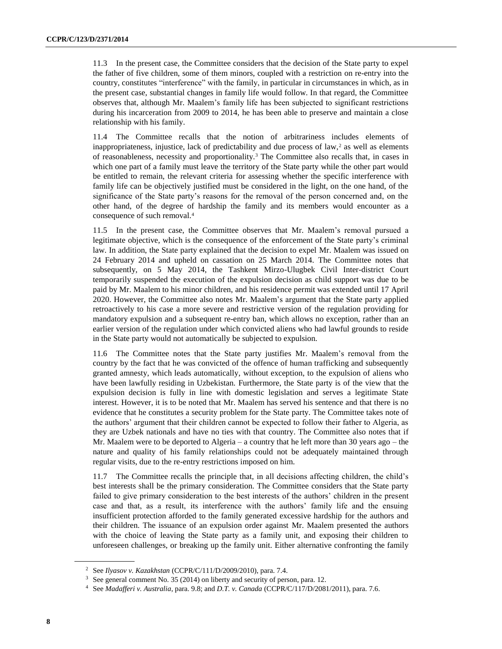11.3 In the present case, the Committee considers that the decision of the State party to expel the father of five children, some of them minors, coupled with a restriction on re-entry into the country, constitutes "interference" with the family, in particular in circumstances in which, as in the present case, substantial changes in family life would follow. In that regard, the Committee observes that, although Mr. Maalem's family life has been subjected to significant restrictions during his incarceration from 2009 to 2014, he has been able to preserve and maintain a close relationship with his family.

11.4 The Committee recalls that the notion of arbitrariness includes elements of inappropriateness, injustice, lack of predictability and due process of  $\text{law},^2$  as well as elements of reasonableness, necessity and proportionality.<sup>3</sup> The Committee also recalls that, in cases in which one part of a family must leave the territory of the State party while the other part would be entitled to remain, the relevant criteria for assessing whether the specific interference with family life can be objectively justified must be considered in the light, on the one hand, of the significance of the State party's reasons for the removal of the person concerned and, on the other hand, of the degree of hardship the family and its members would encounter as a consequence of such removal.<sup>4</sup>

11.5 In the present case, the Committee observes that Mr. Maalem's removal pursued a legitimate objective, which is the consequence of the enforcement of the State party's criminal law. In addition, the State party explained that the decision to expel Mr. Maalem was issued on 24 February 2014 and upheld on cassation on 25 March 2014. The Committee notes that subsequently, on 5 May 2014, the Tashkent Mirzo-Ulugbek Civil Inter-district Court temporarily suspended the execution of the expulsion decision as child support was due to be paid by Mr. Maalem to his minor children, and his residence permit was extended until 17 April 2020. However, the Committee also notes Mr. Maalem's argument that the State party applied retroactively to his case a more severe and restrictive version of the regulation providing for mandatory expulsion and a subsequent re-entry ban, which allows no exception, rather than an earlier version of the regulation under which convicted aliens who had lawful grounds to reside in the State party would not automatically be subjected to expulsion.

11.6 The Committee notes that the State party justifies Mr. Maalem's removal from the country by the fact that he was convicted of the offence of human trafficking and subsequently granted amnesty, which leads automatically, without exception, to the expulsion of aliens who have been lawfully residing in Uzbekistan. Furthermore, the State party is of the view that the expulsion decision is fully in line with domestic legislation and serves a legitimate State interest. However, it is to be noted that Mr. Maalem has served his sentence and that there is no evidence that he constitutes a security problem for the State party. The Committee takes note of the authors' argument that their children cannot be expected to follow their father to Algeria, as they are Uzbek nationals and have no ties with that country. The Committee also notes that if Mr. Maalem were to be deported to Algeria – a country that he left more than 30 years ago – the nature and quality of his family relationships could not be adequately maintained through regular visits, due to the re-entry restrictions imposed on him.

11.7 The Committee recalls the principle that, in all decisions affecting children, the child's best interests shall be the primary consideration. The Committee considers that the State party failed to give primary consideration to the best interests of the authors' children in the present case and that, as a result, its interference with the authors' family life and the ensuing insufficient protection afforded to the family generated excessive hardship for the authors and their children. The issuance of an expulsion order against Mr. Maalem presented the authors with the choice of leaving the State party as a family unit, and exposing their children to unforeseen challenges, or breaking up the family unit. Either alternative confronting the family

<sup>2</sup> See *Ilyasov v. Kazakhstan* (CCPR/C/111/D/2009/2010), para. 7.4.

<sup>&</sup>lt;sup>3</sup> See general comment No. 35 (2014) on liberty and security of person, para. 12.

<sup>4</sup> See *Madafferi v. Australia*, para. 9.8; and *D.T. v. Canada* (CCPR/C/117/D/2081/2011), para. 7.6.